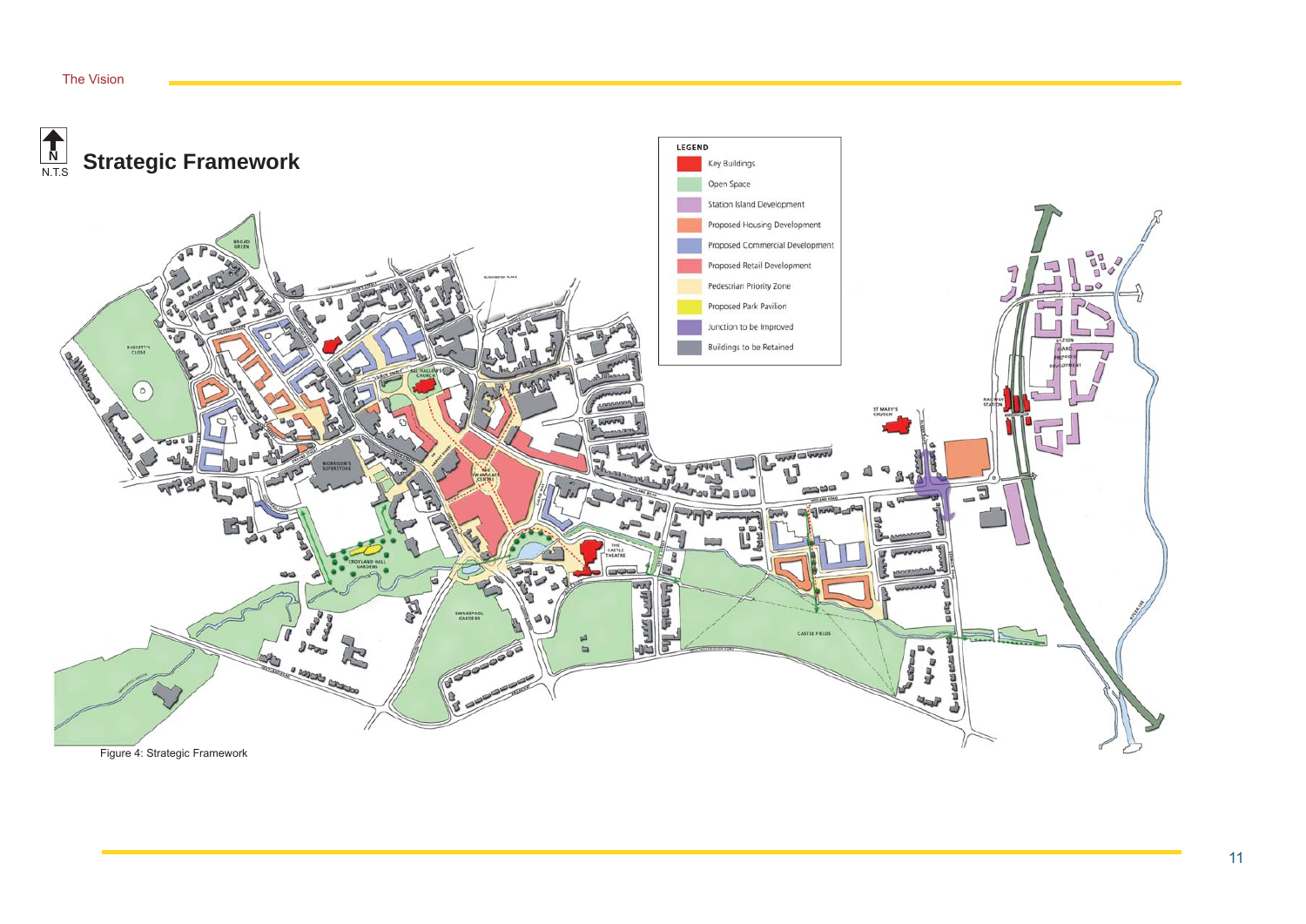#### The Vision

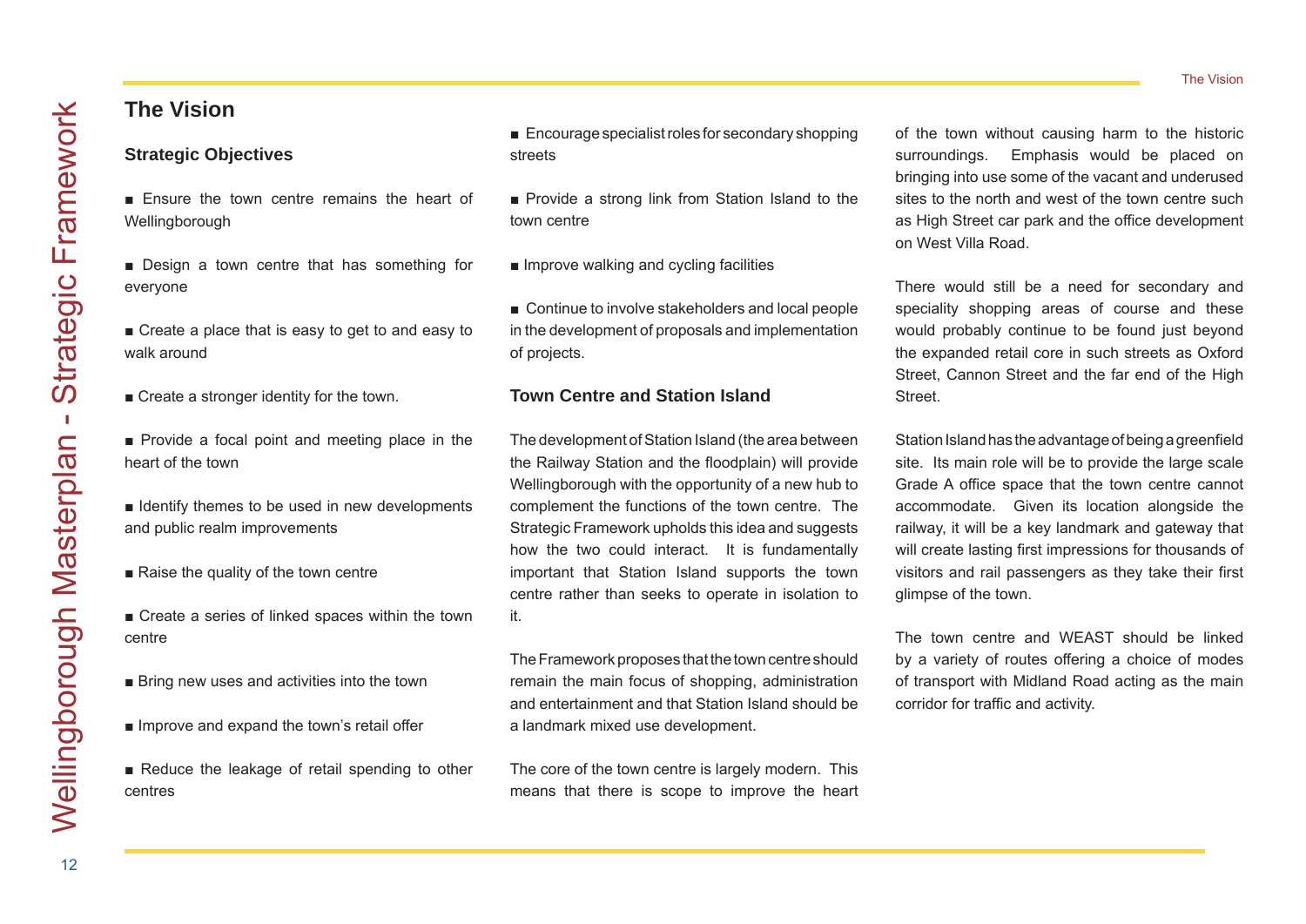# **The Vision**

## **Strategic Objectives**

- Ensure the town centre remains the heart of Wellingborough
- Design a town centre that has something for everyone
- Create a place that is easy to get to and easy to walk around
- Create a stronger identity for the town.
- Provide a focal point and meeting place in the heart of the town
- Identify themes to be used in new developments and public realm improvements
- Raise the quality of the town centre
- Create a series of linked spaces within the town centre
- Bring new uses and activities into the town
- Improve and expand the town's retail offer
- Reduce the leakage of retail spending to other centres
- Encourage specialist roles for secondary shopping streets
- Provide a strong link from Station Island to the town centre
- Improve walking and cycling facilities
- Continue to involve stakeholders and local people in the development of proposals and implementation of projects.

## **Town Centre and Station Island**

The development of Station Island (the area between the Railway Station and the floodplain) will provide Wellingborough with the opportunity of a new hub to complement the functions of the town centre. The Strategic Framework upholds this idea and suggests how the two could interact. It is fundamentally important that Station Island supports the town centre rather than seeks to operate in isolation to it.

The Framework proposes that the town centre should remain the main focus of shopping, administration and entertainment and that Station Island should be a landmark mixed use development.

The core of the town centre is largely modern. This means that there is scope to improve the heart of the town without causing harm to the historic surroundings. Emphasis would be placed on bringing into use some of the vacant and underused sites to the north and west of the town centre such as High Street car park and the office development on West Villa Road.

There would still be a need for secondary and speciality shopping areas of course and these would probably continue to be found just beyond the expanded retail core in such streets as Oxford Street, Cannon Street and the far end of the High Street.

Station Island has the advantage of being a greenfield site. Its main role will be to provide the large scale Grade A office space that the town centre cannot accommodate. Given its location alongside the railway, it will be a key landmark and gateway that will create lasting first impressions for thousands of visitors and rail passengers as they take their first glimpse of the town.

The town centre and WEAST should be linked by a variety of routes offering a choice of modes of transport with Midland Road acting as the main corridor for traffic and activity.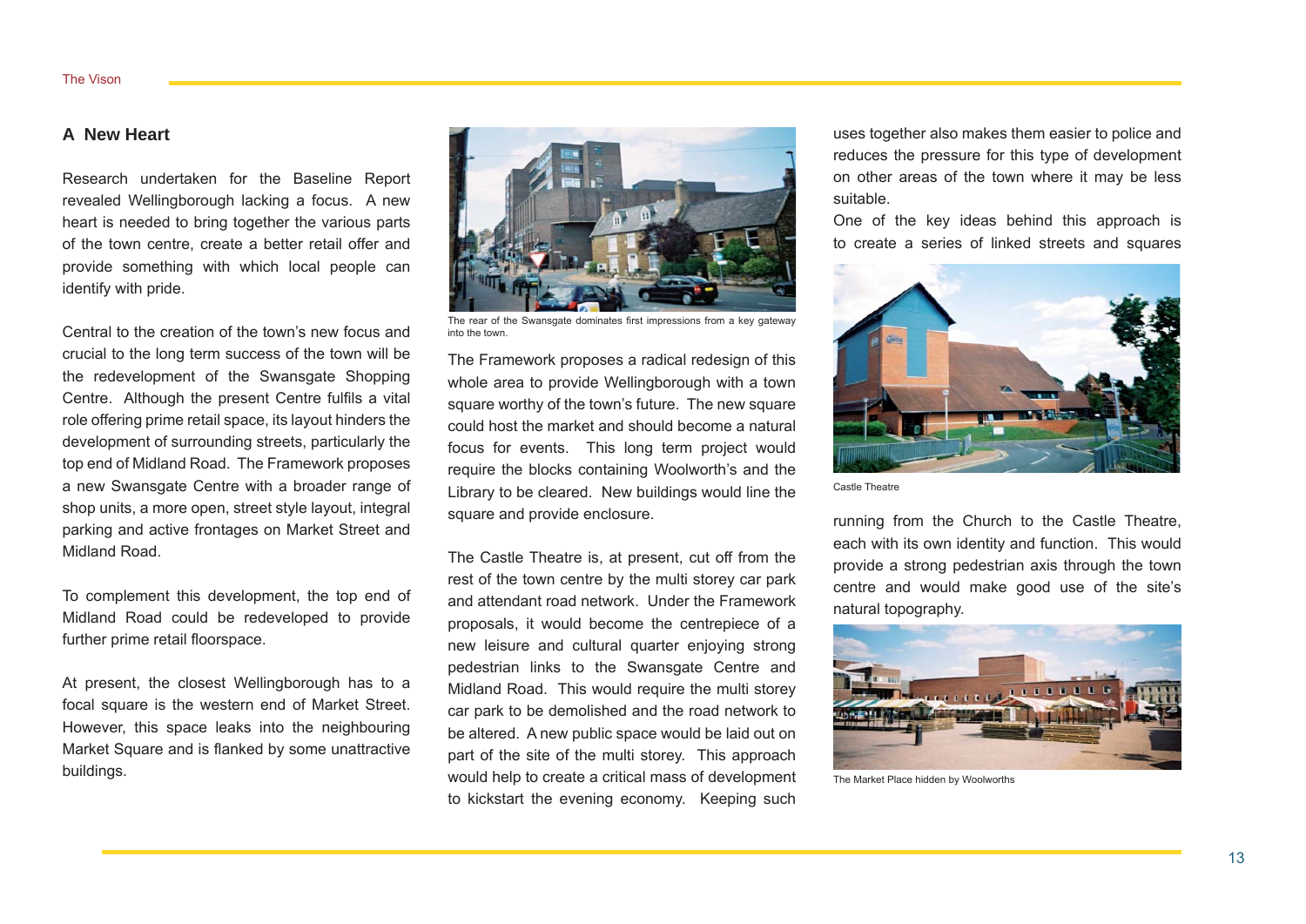## **A New Heart**

Research undertaken for the Baseline Report revealed Wellingborough lacking a focus. A new heart is needed to bring together the various parts of the town centre, create a better retail offer and provide something with which local people can identify with pride.

Central to the creation of the town's new focus and crucial to the long term success of the town will be the redevelopment of the Swansgate Shopping Centre. Although the present Centre fulfils a vital role offering prime retail space, its layout hinders the development of surrounding streets, particularly the top end of Midland Road. The Framework proposes a new Swansgate Centre with a broader range of shop units, a more open, street style layout, integral parking and active frontages on Market Street and Midland Road.

To complement this development, the top end of Midland Road could be redeveloped to provide further prime retail floorspace.

At present, the closest Wellingborough has to a focal square is the western end of Market Street. However, this space leaks into the neighbouring Market Square and is flanked by some unattractive buildings.



The rear of the Swansgate dominates first impressions from a key gateway into the town.

The Framework proposes a radical redesign of this whole area to provide Wellingborough with a town square worthy of the town's future. The new square could host the market and should become a natural focus for events. This long term project would require the blocks containing Woolworth's and the Library to be cleared. New buildings would line the square and provide enclosure.

The Castle Theatre is, at present, cut off from the rest of the town centre by the multi storey car park and attendant road network. Under the Framework proposals, it would become the centrepiece of a new leisure and cultural quarter enjoying strong pedestrian links to the Swansgate Centre and Midland Road. This would require the multi storey car park to be demolished and the road network to be altered. A new public space would be laid out on part of the site of the multi storey. This approach would help to create a critical mass of development to kickstart the evening economy. Keeping such uses together also makes them easier to police and reduces the pressure for this type of development on other areas of the town where it may be less suitable.

One of the key ideas behind this approach is to create a series of linked streets and squares



Castle Theatre

running from the Church to the Castle Theatre, each with its own identity and function. This would provide a strong pedestrian axis through the town centre and would make good use of the site's natural topography.



The Market Place hidden by Woolworths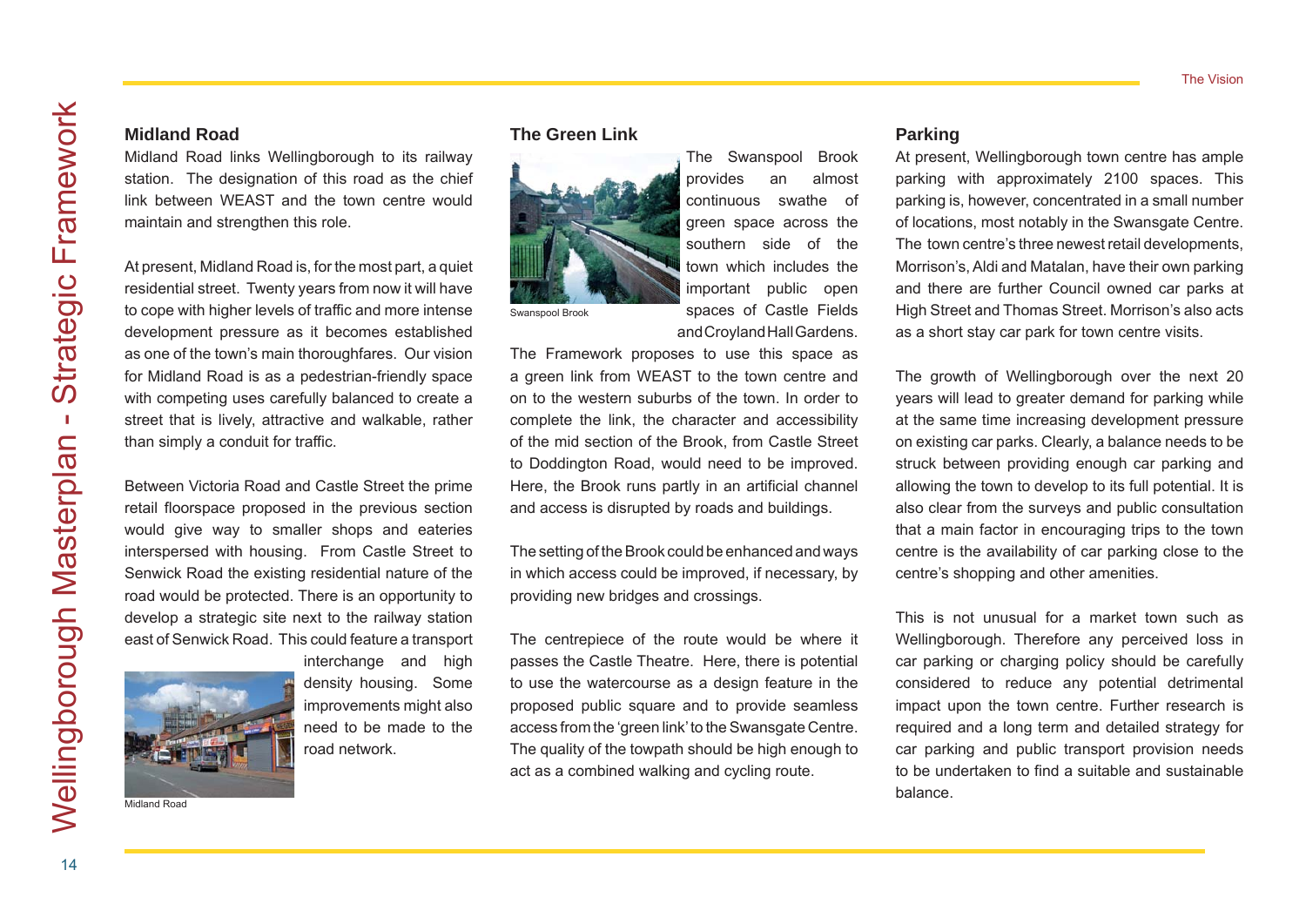Midland Road links Wellingborough to its railway station. The designation of this road as the chief link between WEAST and the town centre would maintain and strengthen this role.

**Midland Road**

At present, Midland Road is, for the most part, a quiet residential street. Twenty years from now it will have to cope with higher levels of traffic and more intense development pressure as it becomes established as one of the town's main thoroughfares. Our vision for Midland Road is as a pedestrian-friendly space with competing uses carefully balanced to create a street that is lively, attractive and walkable, rather than simply a conduit for traffic.

Between Victoria Road and Castle Street the prime retail floorspace proposed in the previous section would give way to smaller shops and eateries interspersed with housing. From Castle Street to Senwick Road the existing residential nature of the road would be protected. There is an opportunity to develop a strategic site next to the railway station east of Senwick Road. This could feature a transport



interchange and high density housing. Some improvements might also need to be made to the road network.

Midland Road

#### **The Green Link**



The Swanspool Brook provides an almost continuous swathe of green space across the southern side of the town which includes the important public open spaces of Castle Fields and Croyland Hall Gardens.

The Framework proposes to use this space as a green link from WEAST to the town centre and on to the western suburbs of the town. In order to complete the link, the character and accessibility of the mid section of the Brook, from Castle Street to Doddington Road, would need to be improved. Here, the Brook runs partly in an artificial channel and access is disrupted by roads and buildings.

The setting of the Brook could be enhanced and ways in which access could be improved, if necessary, by providing new bridges and crossings.

The centrepiece of the route would be where it passes the Castle Theatre. Here, there is potential to use the watercourse as a design feature in the proposed public square and to provide seamless access from the 'green link' to the Swansgate Centre. The quality of the towpath should be high enough to act as a combined walking and cycling route.

## **Parking**

At present, Wellingborough town centre has ample parking with approximately 2100 spaces. This parking is, however, concentrated in a small number of locations, most notably in the Swansgate Centre. The town centre's three newest retail developments, Morrison's, Aldi and Matalan, have their own parking and there are further Council owned car parks at High Street and Thomas Street. Morrison's also acts as a short stay car park for town centre visits.

The growth of Wellingborough over the next 20 years will lead to greater demand for parking while at the same time increasing development pressure on existing car parks. Clearly, a balance needs to be struck between providing enough car parking and allowing the town to develop to its full potential. It is also clear from the surveys and public consultation that a main factor in encouraging trips to the town centre is the availability of car parking close to the centre's shopping and other amenities.

This is not unusual for a market town such as Wellingborough. Therefore any perceived loss in car parking or charging policy should be carefully considered to reduce any potential detrimental impact upon the town centre. Further research is required and a long term and detailed strategy for car parking and public transport provision needs to be undertaken to find a suitable and sustainable balance.